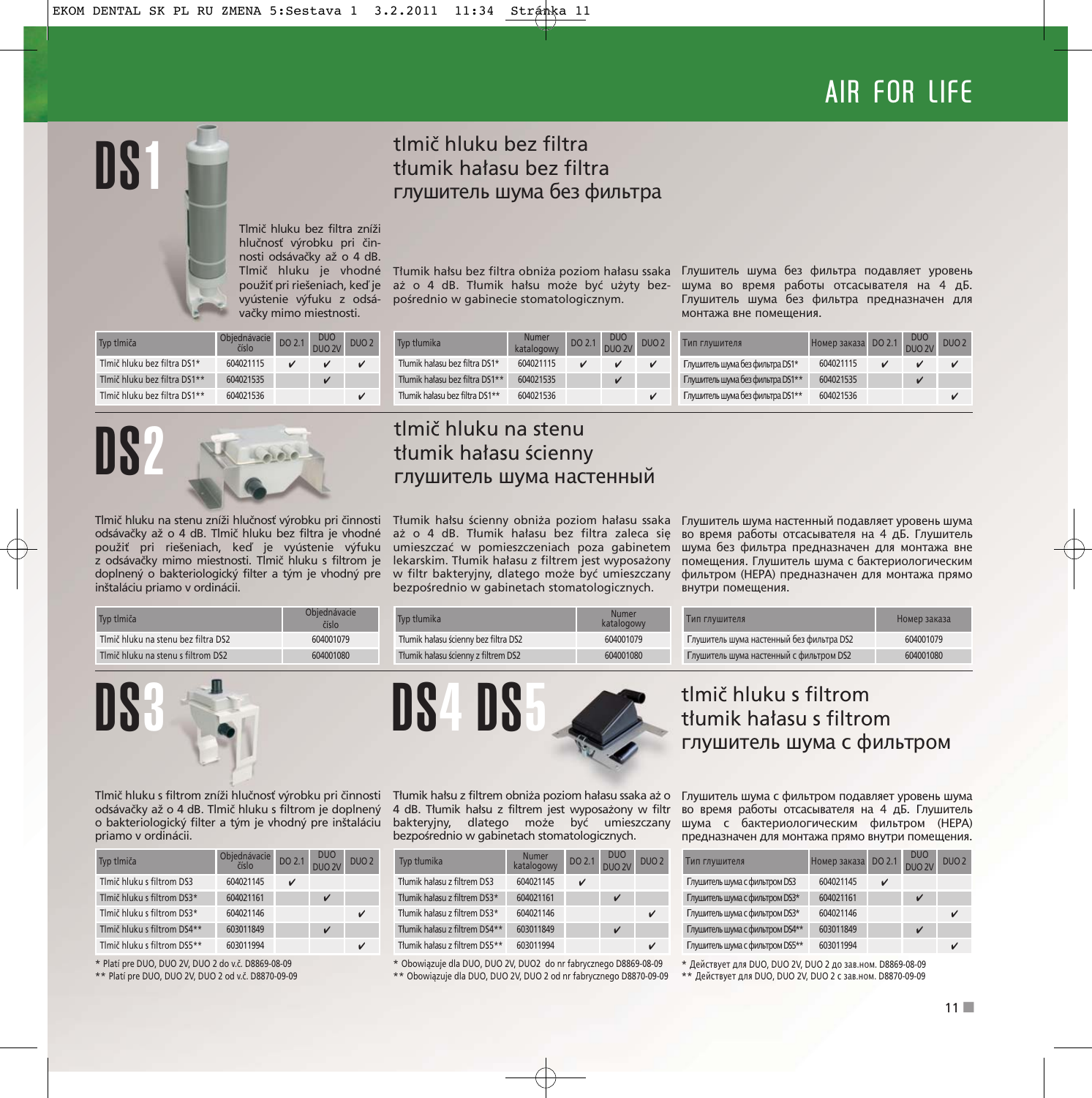# AIR FOR LIFE

## tlmič hluku bez filtra tłumik hałasu bez filtra глушитель шума без фильтра

Tlmič hluku bez filtra zníži hlučnosť výrobku pri činnosti odsávačky až o 4 dB. Tlmič hluku je vhodné použiť pri riešeniach, keď je vyústenie výfuku z odsávačky mimo miestnosti.

pośrednio w gabinecie stomatologicznym.

Tłumik hałsu bez filtra obniża poziom hałasu ssaka Глушитель шума без фильтра подавляет уровень aż o 4 dB. Tłumik hałsu może być użyty bez-шума во время работы отсасывателя на 4 дБ. Глушитель шума без фильтра предназначен для монтажа вне помещения.

| Typ timiča                   | Objednávacie<br>číslo | DO 2.1 | DUO<br>DUO 2V | DUO <sub>2</sub> |
|------------------------------|-----------------------|--------|---------------|------------------|
| Tlmič hluku bez filtra DS1*  | 604021115             |        | ✓             |                  |
| Tlmič hluku bez filtra DS1** | 604021535             |        | ✓             |                  |
| Tlmič hluku bez filtra DS1** | 604021536             |        |               |                  |

DS1

| Tvp tłumika                    | <b>Numer</b><br>katalogowy | DO 2.1 DUO<br>DUO 2V | DUO <sub>2</sub> | Тип глушителя          |
|--------------------------------|----------------------------|----------------------|------------------|------------------------|
| Tłumik hałasu bez filtra DS1*  | 604021115                  |                      |                  | Глушитель шума без фил |
| Tłumik hałasu bez filtra DS1** | 604021535                  | v                    |                  | Глушитель шума без фил |
| Tłumik hałasu bez filtra DS1** | 604021536                  |                      | ✓                | Глушитель шума без фил |

Тип глушителя Номер заказа DO 2.1 DUO

| Тип глушителя                    | Номер заказа DO 2.1 | <u>DUC</u><br>DUO <sub>2V</sub> | DUO <sub>2</sub> |
|----------------------------------|---------------------|---------------------------------|------------------|
| Глушитель шума без фильтра DS1*  | 604021115           |                                 |                  |
| Глушитель шума без фильтра DS1** | 604021535           |                                 |                  |
| Глушитель шума без фильтра DS1** | 604021536           |                                 |                  |



Tlmič hluku na stenu zníži hlučnosť výrobku pri činnosti odsávačky až o 4 dB. Tlmič hluku bez filtra je vhodné použiť pri riešeniach, keď je vyústenie výfuku z odsávačky mimo miestnosti. Tlmič hluku s filtrom je doplnený o bakteriologický filter a tým je vhodný pre inštaláciu priamo v ordinácii.

#### tlmič hluku na stenu tłumik hałasu ścienny глушитель шума настенный

umieszczać w pomieszczeniach poza gabinetem lekarskim. Tłumik hałasu z filtrem jest wyposażony w filtr bakteryjny, dlatego może być umieszczany bezpośrednio w gabinetach stomatologicznych.

Tłumik hałsu ścienny obniża poziom hałasu ssaka Глушитель шума настенный подавляет уровень шума aż o 4 dB. Tłumik hałasu bez filtra zaleca się во время работы отсасывателя на 4 дБ. Глушитель шума без фильтра предназначен для монтажа вне помещения. Глушитель шума с бактериологическим фильтром (HEPA) предназначен для монтажа прямо внутри помещения.

| Typ tlmiča                          | Obiednávacie<br>číslo | Typ tłumika                          | Numer<br>katalogowy | Тип глушителя                            | Номер заказа |
|-------------------------------------|-----------------------|--------------------------------------|---------------------|------------------------------------------|--------------|
| Tlmič hluku na stenu bez filtra DS2 | 604001079             | Tłumik hałasu ścienny bez filtra DS2 | 604001079           | Глушитель шума настенный без фильтра DS2 | 604001079    |
| Tlmič hluku na stenu s filtrom DS2  | 604001080             | Tłumik hałasu ścienny z filtrem DS2  | 604001080           | Глушитель шума настенный с фильтром DS2  | 604001080    |



Tlmič hluku s filtrom zníži hlučnosť výrobku pri činnosti odsávačky až o 4 dB. Tlmič hluku s filtrom je doplnený o bakteriologický filter a tým je vhodný pre inštaláciu priamo v ordinácii.

| Typ tlmiča                  | Objednávacie<br>číslo | DO 2.1 | <b>DUO</b><br>DUO 2V | DUO <sub>2</sub> |
|-----------------------------|-----------------------|--------|----------------------|------------------|
| Tlmič hluku s filtrom DS3   | 604021145             |        |                      |                  |
| Tlmič hluku s filtrom DS3*  | 604021161             |        | V                    |                  |
| Tlmič hluku s filtrom DS3*  | 604021146             |        |                      | ✓                |
| Tlmič hluku s filtrom DS4** | 603011849             |        | v                    |                  |
| Tlmič hluku s filtrom DS5** | 603011994             |        |                      |                  |

\* Platí pre DUO, DUO 2V, DUO 2 do v.č. D8869-08-09

\*\* Platí pre DUO, DUO 2V, DUO 2 od v.č. D8870-09-09



Tłumik hałsu z filtrem obniża poziom hałasu ssaka aż o 4 dB. Tłumik hałsu z filtrem jest wyposażony w filtr bakteryjny, dlatego może być umieszczany bezpośrednio w gabinetach stomatologicznych.

| Typ tłumika                   | <b>Numer</b><br>katalogowy | DO 2.1 | <b>DUO</b><br>DUO <sub>2V</sub> | DUO <sub>2</sub> |
|-------------------------------|----------------------------|--------|---------------------------------|------------------|
| Tłumik hałasu z filtrem DS3   | 604021145                  | v      |                                 |                  |
| Tłumik hałasu z filtrem DS3*  | 604021161                  |        | v                               |                  |
| Tłumik hałasu z filtrem DS3*  | 604021146                  |        |                                 | v                |
| Tłumik hałasu z filtrem DS4** | 603011849                  |        | v                               |                  |
| Tłumik hałasu z filtrem DS5** | 603011994                  |        |                                 | $\mathbf{v}$     |
|                               |                            |        |                                 |                  |

\* Obowiązuje dla DUO, DUO 2V, DUO2 do nr fabrycznego D8869-08-09 \*\* Obowiązuje dla DUO, DUO 2V, DUO 2 od nr fabrycznego D8870-09-09

tlmič hluku s filtrom tłumik hałasu s filtrom глушитель шума с фильтром

Глушитель шума с фильтром подавляет уровень шума во время работы отсасывателя на 4 дБ. Глушитель шума с бактериологическим фильтром (HEPA) предназначен для монтажа прямо внутри помещения.

| Тип глушителя                   | Номер заказа | DO 2.1 | <b>DUO</b><br>DUO <sub>2V</sub> | DUO <sub>2</sub> |
|---------------------------------|--------------|--------|---------------------------------|------------------|
| Глушитель шума с фильтром DS3   | 604021145    | ✓      |                                 |                  |
| Глушитель шума с фильтром DS3*  | 604021161    |        |                                 |                  |
| Глушитель шума с фильтром DS3*  | 604021146    |        |                                 | v                |
| Глушитель шума с фильтром DS4** | 603011849    |        |                                 |                  |
| Глушитель шума с фильтром DS5** | 603011994    |        |                                 | J                |

\* Действует для DUO, DUO 2V, DUO 2 до зав.ном. D8869-08-09 \*\* Действует для DUO, DUO 2V, DUO 2 с зав.ном. D8870-09-09